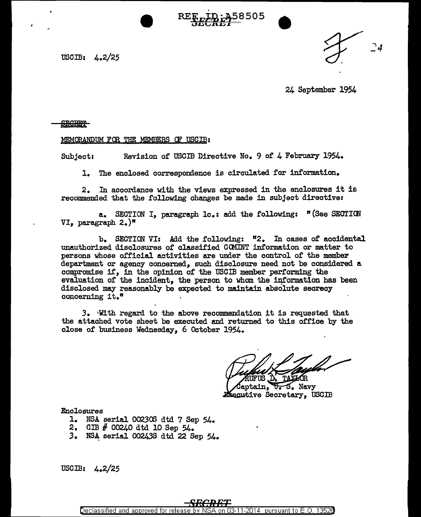USCIB: 4.2/25



24 September 1954

•<br>•

8505

## **SECRET**

## MEMORANDUM FOR THE MEMBERS OF USCIB:

Subject: Revision of USCIB Directive No. 9 of 4 February 1954.

1. The enclosed correspondence is circulated for information.

2. In accordance with the views expressed in the enclosures it is recommended that the following changes be made in subject directive:

a. SECTION I, paragraph le.: add the following: "(See SECTION VI, paragraph 2.)n

b. SECTION VI: Add the following: "2. In cases of accidental unauthorized disclosures of classified CCMINT information or matter to persons whose official activities are under the control of the member department or agency concerned, such disclosure need not be considered a compromise if, in the opinion of the USCIB member performing the evaluation of the incident, the person to whom the information has been disclosed may reasonably be expected to maintain absolute secrecy concerning it."

3. With regard to the above recommendation it is requested that the attached vote sheet be executed and returned to this office by the close of business Wednesday, 6 October 1954.

**TAXIOR** 

aptain, U.S. Navy Executive Secretary, USCIB

Enclosures

- 1. NSA serial 002300 dtd 7 Sep 54.
- 2. CIB # 00240 dtd 10 Sep 54.
- 3. NSA serial 00243S dtd 22 Sep 54.

USCIB: 4.2/25

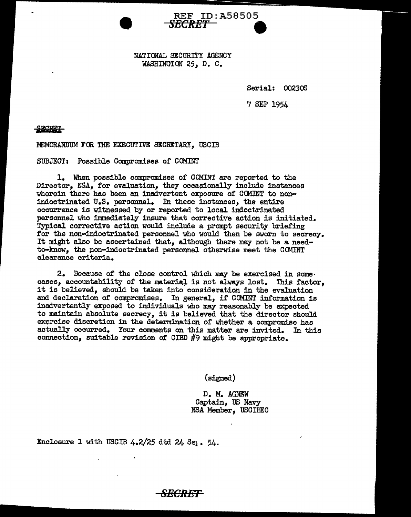NATIONAL SECURITY AGENCY WASHINGTON 25, D. C.

REF ID:A58505 *SECRET* **9** 

Serial: 002308

7 SEP 1954

**BCRET** 

MEMORANDUM FOR THE EXECUTIVE SECRETARY. USCIB

SUBJECT: Possible Compromises of COMINT

l. When possible compromises of COMINT are reported to the Director, NSA, for evaluation, they occasionally include instances wherein there has been an inadvertent exposure of COMINT to nonindoctrinated U.S. personnel. In these instances, the entire occurrence is witnessed by or reported to local indoctrinated personnel who immediately insure that corrective action is initiated. Typical corrective action would include a prompt security briefing for the non-indoctrinated personnel who would then be sworn to secrecy. It might also be ascertained that, although there may not be a needto-know, the non-indoctrinated personnel otherwise meet the COMINT clearance criteria.

2. Because of the close control which may be exercised in some. cases, accountability of the material is not alweys lost. This factor, it is believed, should be taken into consideration in the evaluation and declaration of compromises. In general, if COMINT information is inadvertently exposed to individuals who may reasonably be expected to maintain absolute secrecy, it is believed that the director should exercise discretion in the determination of whether a compromise has actually occurred. Your comments on this matter are invited. In this connection, suitable revision of CIBD #9 might be appropriate.

**SECRET** 

(signed)

D. M. AGNEW Captain, US Navy NSA Member, USCIBEC

Enclosure 1 with USCIB  $4.2/25$  dtd  $24$  Se<sub>1</sub>. 54.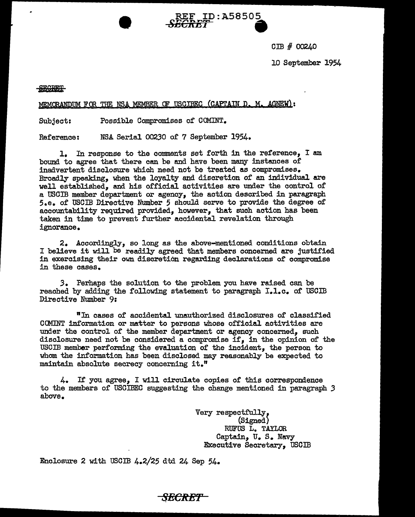om # 00240

REF ID:A58505 s.rrt...,....,...,.,.\_ **.a** ~GllDl **<sup>W</sup>**

10 September 1954

## SECRET

MEMORANDUM FOR THE NSA MEMBER OF USCIBEC (CAPTAIN D. M. AGNEW):

Subject: Possible Compromises of COMINT.

Reference: NSA Serial 00230 of 7 September 1954.

1. In response to the comments set forth in the reference, I am bound to agree that there can be end have been many instances of inadvertent disclosure which need not be treated as compromises. Broadly speaking, when the loyalty and discretion of an individual are well established, and his official activities are under the control of a USCIB member department or agency, the action described in paragraph 5.e. of USCIB Directive Number *5* should serve to provide the degree of accountability required provided, however, that such action has been taken in time to prevent further accidental revelation through ignorance.

2. Accordingly, so long as the above-mentioned conditions obtain I believe it will be readily agreed that members concerned are justified in exercising their own discretion regarding declarations of compromise in these cases.

*3.* Perhaps the solution to the problem you have raised can be reached by adding the following statement to paragraph I.l.c. of USCIB Directive Number 9:

"In cases of accidental unauthorized disclosures of classified COMINT information or matter to persons whose official activities are under the control of the member department or agency concerned, such disclosure need not be considered a compromise if, in the opinion of the USCIB member performing the evaluation of the incident, the person to whom. the information has been disclosed may reasonably be expected to maintain absolute secrecy concerning it."

4. If you agree, I will circulate copies of this correspondence to the members of USCIBEC suggesting the change mentioned in paragraph *3*  above.

> Very respectfully,<br>(Signed) RUFUS L. TAYLOR Captain, u. s. Navy Executive Secretary, USCIB

Enclosure 2 with USCIB  $4.2/25$  dtd 24 Sep  $54.5$ 

*SECRBT*